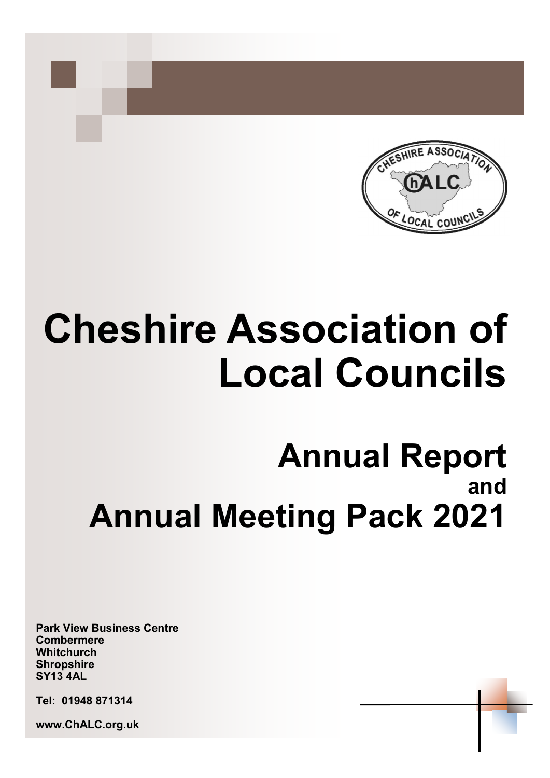

# **Cheshire Association of Local Councils**

# **Annual Report and Annual Meeting Pack 2021**

**Park View Business Centre Combermere Whitchurch Shropshire SY13 4AL**

**Tel: 01948 871314**

**www.ChALC.org.uk**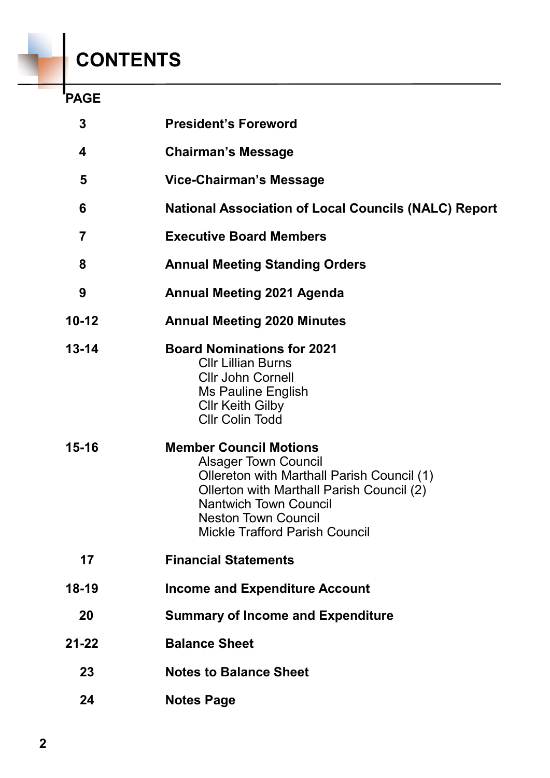# **CONTENTS**

## **PAGE**

| 3         | <b>President's Foreword</b>                                                                                                                                                                                                                                    |
|-----------|----------------------------------------------------------------------------------------------------------------------------------------------------------------------------------------------------------------------------------------------------------------|
| 4         | <b>Chairman's Message</b>                                                                                                                                                                                                                                      |
| 5         | <b>Vice-Chairman's Message</b>                                                                                                                                                                                                                                 |
| 6         | <b>National Association of Local Councils (NALC) Report</b>                                                                                                                                                                                                    |
| 7         | <b>Executive Board Members</b>                                                                                                                                                                                                                                 |
| 8         | <b>Annual Meeting Standing Orders</b>                                                                                                                                                                                                                          |
| 9         | <b>Annual Meeting 2021 Agenda</b>                                                                                                                                                                                                                              |
| $10 - 12$ | <b>Annual Meeting 2020 Minutes</b>                                                                                                                                                                                                                             |
| $13 - 14$ | <b>Board Nominations for 2021</b><br><b>CIIr Lillian Burns</b><br><b>Cllr John Cornell</b><br><b>Ms Pauline English</b><br><b>CIIr Keith Gilby</b><br><b>Cllr Colin Todd</b>                                                                                   |
| $15 - 16$ | <b>Member Council Motions</b><br><b>Alsager Town Council</b><br>Ollereton with Marthall Parish Council (1)<br>Ollerton with Marthall Parish Council (2)<br><b>Nantwich Town Council</b><br><b>Neston Town Council</b><br><b>Mickle Trafford Parish Council</b> |
| 17        | <b>Financial Statements</b>                                                                                                                                                                                                                                    |
| $18 - 19$ | <b>Income and Expenditure Account</b>                                                                                                                                                                                                                          |
| 20        | <b>Summary of Income and Expenditure</b>                                                                                                                                                                                                                       |
| $21 - 22$ | <b>Balance Sheet</b>                                                                                                                                                                                                                                           |
| 23        | <b>Notes to Balance Sheet</b>                                                                                                                                                                                                                                  |
| 24        | <b>Notes Page</b>                                                                                                                                                                                                                                              |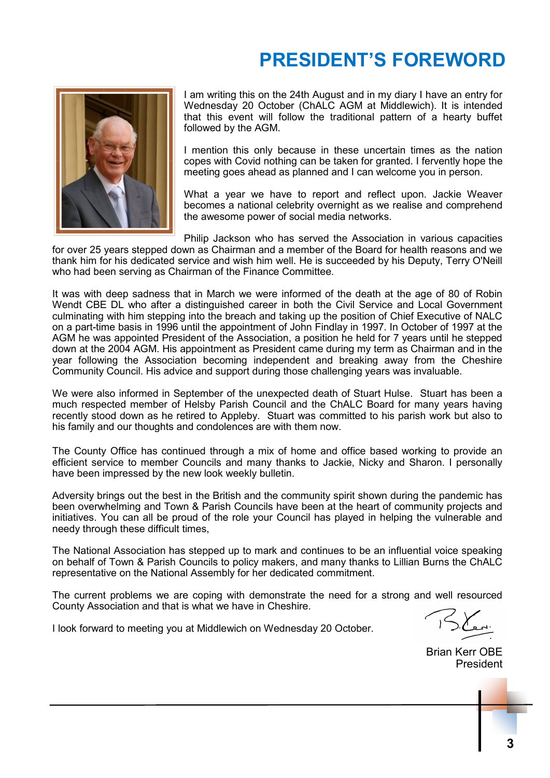# **PRESIDENT'S FOREWORD**



I am writing this on the 24th August and in my diary I have an entry for Wednesday 20 October (ChALC AGM at Middlewich). It is intended that this event will follow the traditional pattern of a hearty buffet followed by the AGM.

I mention this only because in these uncertain times as the nation copes with Covid nothing can be taken for granted. I fervently hope the meeting goes ahead as planned and I can welcome you in person.

What a year we have to report and reflect upon. Jackie Weaver becomes a national celebrity overnight as we realise and comprehend the awesome power of social media networks.

Philip Jackson who has served the Association in various capacities for over 25 years stepped down as Chairman and a member of the Board for health reasons and we thank him for his dedicated service and wish him well. He is succeeded by his Deputy, Terry O'Neill who had been serving as Chairman of the Finance Committee.

It was with deep sadness that in March we were informed of the death at the age of 80 of Robin Wendt CBE DL who after a distinguished career in both the Civil Service and Local Government culminating with him stepping into the breach and taking up the position of Chief Executive of NALC on a part-time basis in 1996 until the appointment of John Findlay in 1997. In October of 1997 at the AGM he was appointed President of the Association, a position he held for 7 years until he stepped down at the 2004 AGM. His appointment as President came during my term as Chairman and in the year following the Association becoming independent and breaking away from the Cheshire Community Council. His advice and support during those challenging years was invaluable.

We were also informed in September of the unexpected death of Stuart Hulse. Stuart has been a much respected member of Helsby Parish Council and the ChALC Board for many years having recently stood down as he retired to Appleby. Stuart was committed to his parish work but also to his family and our thoughts and condolences are with them now.

The County Office has continued through a mix of home and office based working to provide an efficient service to member Councils and many thanks to Jackie, Nicky and Sharon. I personally have been impressed by the new look weekly bulletin.

Adversity brings out the best in the British and the community spirit shown during the pandemic has been overwhelming and Town & Parish Councils have been at the heart of community projects and initiatives. You can all be proud of the role your Council has played in helping the vulnerable and needy through these difficult times,

The National Association has stepped up to mark and continues to be an influential voice speaking on behalf of Town & Parish Councils to policy makers, and many thanks to Lillian Burns the ChALC representative on the National Assembly for her dedicated commitment.

The current problems we are coping with demonstrate the need for a strong and well resourced County Association and that is what we have in Cheshire.

I look forward to meeting you at Middlewich on Wednesday 20 October.

Brian Kerr OBE President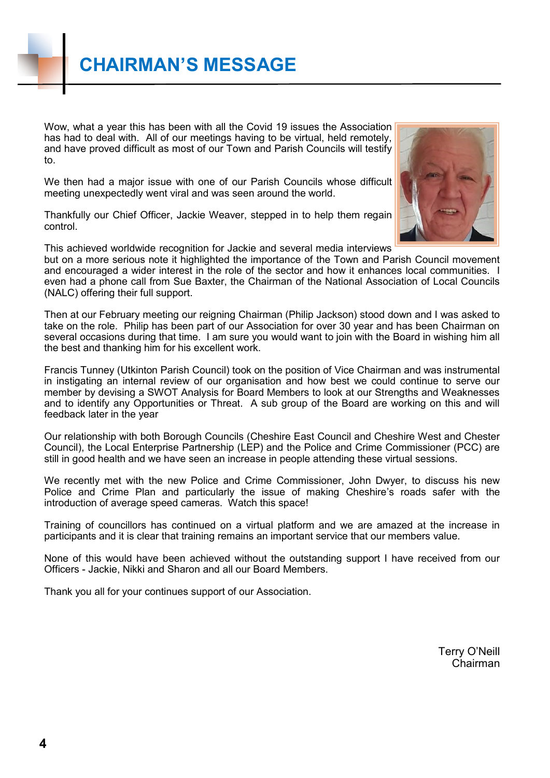Wow, what a year this has been with all the Covid 19 issues the Association has had to deal with. All of our meetings having to be virtual, held remotely, and have proved difficult as most of our Town and Parish Councils will testify to.

We then had a major issue with one of our Parish Councils whose difficult meeting unexpectedly went viral and was seen around the world.

Thankfully our Chief Officer, Jackie Weaver, stepped in to help them regain control.



This achieved worldwide recognition for Jackie and several media interviews but on a more serious note it highlighted the importance of the Town and Parish Council movement and encouraged a wider interest in the role of the sector and how it enhances local communities. I even had a phone call from Sue Baxter, the Chairman of the National Association of Local Councils (NALC) offering their full support.

Then at our February meeting our reigning Chairman (Philip Jackson) stood down and I was asked to take on the role. Philip has been part of our Association for over 30 year and has been Chairman on several occasions during that time. I am sure you would want to join with the Board in wishing him all the best and thanking him for his excellent work.

Francis Tunney (Utkinton Parish Council) took on the position of Vice Chairman and was instrumental in instigating an internal review of our organisation and how best we could continue to serve our member by devising a SWOT Analysis for Board Members to look at our Strengths and Weaknesses and to identify any Opportunities or Threat. A sub group of the Board are working on this and will feedback later in the year

Our relationship with both Borough Councils (Cheshire East Council and Cheshire West and Chester Council), the Local Enterprise Partnership (LEP) and the Police and Crime Commissioner (PCC) are still in good health and we have seen an increase in people attending these virtual sessions.

We recently met with the new Police and Crime Commissioner, John Dwyer, to discuss his new Police and Crime Plan and particularly the issue of making Cheshire's roads safer with the introduction of average speed cameras. Watch this space!

Training of councillors has continued on a virtual platform and we are amazed at the increase in participants and it is clear that training remains an important service that our members value.

None of this would have been achieved without the outstanding support I have received from our Officers - Jackie, Nikki and Sharon and all our Board Members.

Thank you all for your continues support of our Association.

Terry O'Neill Chairman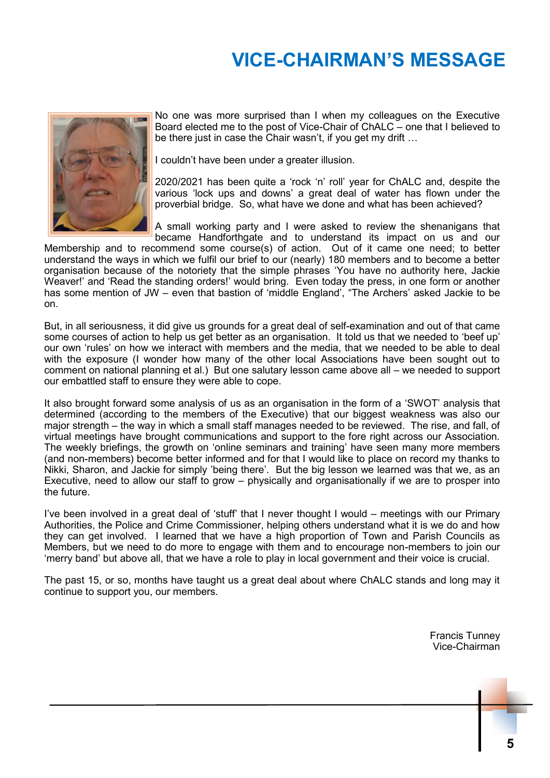# **VICE-CHAIRMAN'S MESSAGE**



No one was more surprised than I when my colleagues on the Executive Board elected me to the post of Vice-Chair of ChALC – one that I believed to be there just in case the Chair wasn't, if you get my drift …

I couldn't have been under a greater illusion.

2020/2021 has been quite a 'rock 'n' roll' year for ChALC and, despite the various 'lock ups and downs' a great deal of water has flown under the proverbial bridge. So, what have we done and what has been achieved?

A small working party and I were asked to review the shenanigans that became Handforthgate and to understand its impact on us and our

Membership and to recommend some course(s) of action. Out of it came one need; to better understand the ways in which we fulfil our brief to our (nearly) 180 members and to become a better organisation because of the notoriety that the simple phrases 'You have no authority here, Jackie Weaver!' and 'Read the standing orders!' would bring. Even today the press, in one form or another has some mention of JW – even that bastion of 'middle England', "The Archers' asked Jackie to be on.

But, in all seriousness, it did give us grounds for a great deal of self-examination and out of that came some courses of action to help us get better as an organisation. It told us that we needed to 'beef up' our own 'rules' on how we interact with members and the media, that we needed to be able to deal with the exposure (I wonder how many of the other local Associations have been sought out to comment on national planning et al.) But one salutary lesson came above all – we needed to support our embattled staff to ensure they were able to cope.

It also brought forward some analysis of us as an organisation in the form of a 'SWOT' analysis that determined (according to the members of the Executive) that our biggest weakness was also our major strength – the way in which a small staff manages needed to be reviewed. The rise, and fall, of virtual meetings have brought communications and support to the fore right across our Association. The weekly briefings, the growth on 'online seminars and training' have seen many more members (and non-members) become better informed and for that I would like to place on record my thanks to Nikki, Sharon, and Jackie for simply 'being there'. But the big lesson we learned was that we, as an Executive, need to allow our staff to grow – physically and organisationally if we are to prosper into the future.

I've been involved in a great deal of 'stuff' that I never thought I would – meetings with our Primary Authorities, the Police and Crime Commissioner, helping others understand what it is we do and how they can get involved. I learned that we have a high proportion of Town and Parish Councils as Members, but we need to do more to engage with them and to encourage non-members to join our 'merry band' but above all, that we have a role to play in local government and their voice is crucial.

The past 15, or so, months have taught us a great deal about where ChALC stands and long may it continue to support you, our members.

> Francis Tunney Vice-Chairman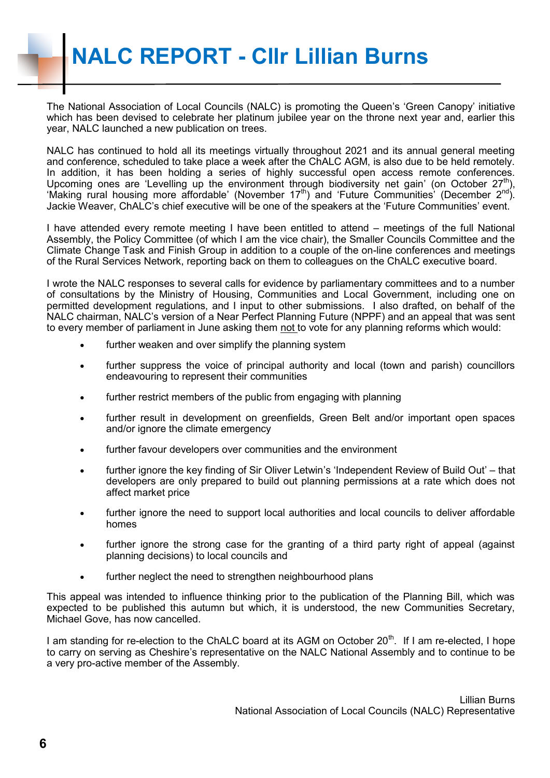The National Association of Local Councils (NALC) is promoting the Queen's 'Green Canopy' initiative which has been devised to celebrate her platinum jubilee year on the throne next year and, earlier this year, NALC launched a new publication on trees.

NALC has continued to hold all its meetings virtually throughout 2021 and its annual general meeting and conference, scheduled to take place a week after the ChALC AGM, is also due to be held remotely. In addition, it has been holding a series of highly successful open access remote conferences. Upcoming ones are 'Levelling up the environment through biodiversity net gain' (on October  $27<sup>th</sup>$ ), "Making rural housing more affordable' (November 17<sup>th</sup>) and 'Future Communities' (December 2<sup>nd</sup>). Jackie Weaver, ChALC's chief executive will be one of the speakers at the 'Future Communities' event.

I have attended every remote meeting I have been entitled to attend – meetings of the full National Assembly, the Policy Committee (of which I am the vice chair), the Smaller Councils Committee and the Climate Change Task and Finish Group in addition to a couple of the on-line conferences and meetings of the Rural Services Network, reporting back on them to colleagues on the ChALC executive board.

I wrote the NALC responses to several calls for evidence by parliamentary committees and to a number of consultations by the Ministry of Housing, Communities and Local Government, including one on permitted development regulations, and I input to other submissions. I also drafted, on behalf of the NALC chairman, NALC's version of a Near Perfect Planning Future (NPPF) and an appeal that was sent to every member of parliament in June asking them not to vote for any planning reforms which would:

- further weaken and over simplify the planning system
- further suppress the voice of principal authority and local (town and parish) councillors endeavouring to represent their communities
- further restrict members of the public from engaging with planning
- further result in development on greenfields, Green Belt and/or important open spaces and/or ignore the climate emergency
- further favour developers over communities and the environment
- further ignore the key finding of Sir Oliver Letwin's 'Independent Review of Build Out' that developers are only prepared to build out planning permissions at a rate which does not affect market price
- further ignore the need to support local authorities and local councils to deliver affordable homes
- further ignore the strong case for the granting of a third party right of appeal (against planning decisions) to local councils and
- further neglect the need to strengthen neighbourhood plans

This appeal was intended to influence thinking prior to the publication of the Planning Bill, which was expected to be published this autumn but which, it is understood, the new Communities Secretary, Michael Gove, has now cancelled.

I am standing for re-election to the ChALC board at its AGM on October  $20<sup>th</sup>$ . If I am re-elected, I hope to carry on serving as Cheshire's representative on the NALC National Assembly and to continue to be a very pro-active member of the Assembly.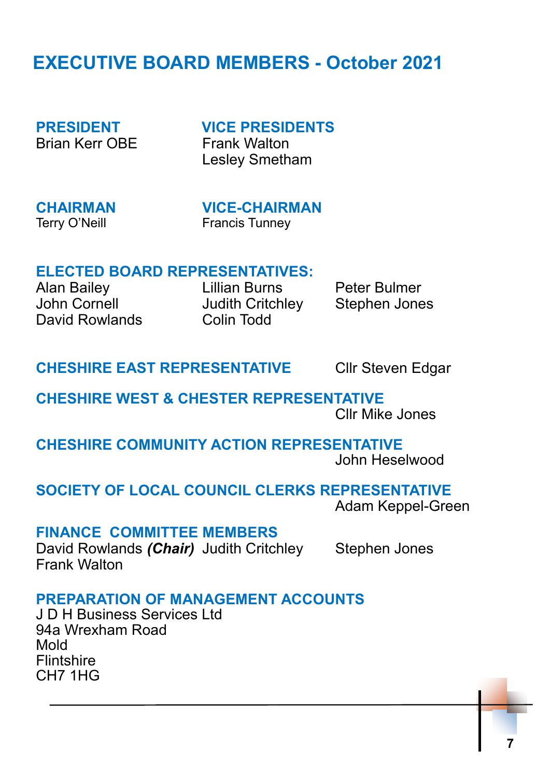# **EXECUTIVE BOARD MEMBERS - October 2021**

Brian Kerr OBF Frank Walton

**PRESIDENT VICE PRESIDENTS** Lesley Smetham

**CHAIRMAN VICE-CHAIRMAN** Terry O'Neill **Francis Tunney** 

### **ELECTED BOARD REPRESENTATIVES:**

Alan Bailey Lillian Burns Peter Bulmer John Cornell Judith Critchley Stephen Jones David Rowlands Colin Todd

## **CHESHIRE EAST REPRESENTATIVE CIIr Steven Edgar**

# **CHESHIRE WEST & CHESTER REPRESENTATIVE**

Cllr Mike Jones

**CHESHIRE COMMUNITY ACTION REPRESENTATIVE** John Heselwood

### **SOCIETY OF LOCAL COUNCIL CLERKS REPRESENTATIVE**

Adam Keppel-Green

### **FINANCE COMMITTEE MEMBERS**

David Rowlands *(Chair)* Judith Critchley Stephen Jones Frank Walton

### **PREPARATION OF MANAGEMENT ACCOUNTS**

J D H Business Services Ltd 94a Wrexham Road Mold **Flintshire** CH7 1HG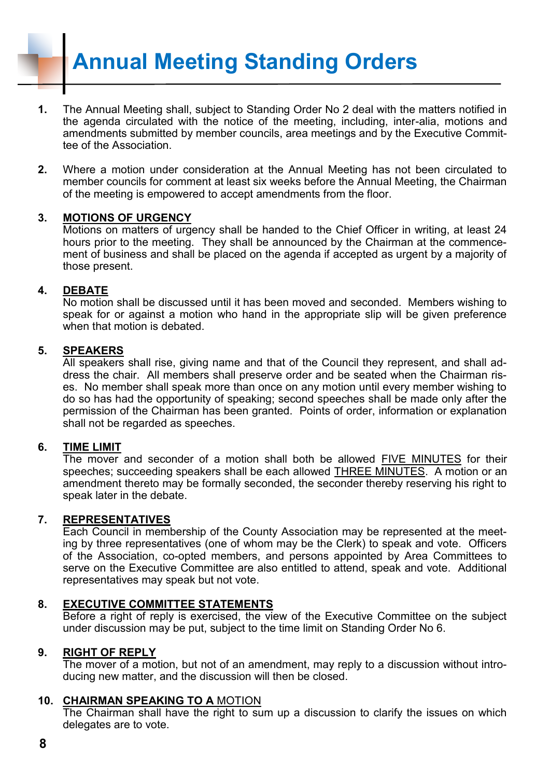**Annual Meeting Standing Orders**

- **1.** The Annual Meeting shall, subject to Standing Order No 2 deal with the matters notified in the agenda circulated with the notice of the meeting, including, inter-alia, motions and amendments submitted by member councils, area meetings and by the Executive Committee of the Association.
- **2.** Where a motion under consideration at the Annual Meeting has not been circulated to member councils for comment at least six weeks before the Annual Meeting, the Chairman of the meeting is empowered to accept amendments from the floor.

#### **3. MOTIONS OF URGENCY**

Motions on matters of urgency shall be handed to the Chief Officer in writing, at least 24 hours prior to the meeting. They shall be announced by the Chairman at the commencement of business and shall be placed on the agenda if accepted as urgent by a majority of those present.

#### **4. DEBATE**

No motion shall be discussed until it has been moved and seconded. Members wishing to speak for or against a motion who hand in the appropriate slip will be given preference when that motion is debated.

#### **5. SPEAKERS**

All speakers shall rise, giving name and that of the Council they represent, and shall address the chair. All members shall preserve order and be seated when the Chairman rises. No member shall speak more than once on any motion until every member wishing to do so has had the opportunity of speaking; second speeches shall be made only after the permission of the Chairman has been granted. Points of order, information or explanation shall not be regarded as speeches.

#### **6. TIME LIMIT**

The mover and seconder of a motion shall both be allowed FIVE MINUTES for their speeches; succeeding speakers shall be each allowed THREE MINUTES. A motion or an amendment thereto may be formally seconded, the seconder thereby reserving his right to speak later in the debate.

#### **7. REPRESENTATIVES**

Each Council in membership of the County Association may be represented at the meeting by three representatives (one of whom may be the Clerk) to speak and vote. Officers of the Association, co-opted members, and persons appointed by Area Committees to serve on the Executive Committee are also entitled to attend, speak and vote. Additional representatives may speak but not vote.

#### **8. EXECUTIVE COMMITTEE STATEMENTS**

Before a right of reply is exercised, the view of the Executive Committee on the subject under discussion may be put, subject to the time limit on Standing Order No 6.

#### **9. RIGHT OF REPLY**

The mover of a motion, but not of an amendment, may reply to a discussion without introducing new matter, and the discussion will then be closed.

#### **10. CHAIRMAN SPEAKING TO A** MOTION

The Chairman shall have the right to sum up a discussion to clarify the issues on which delegates are to vote.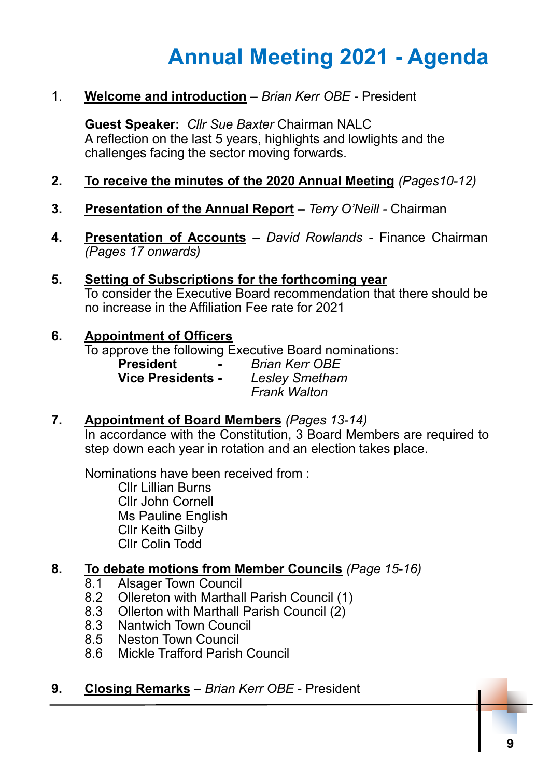# **Annual Meeting 2021 - Agenda**

1. **Welcome and introduction** – *Brian Kerr OBE -* President

**Guest Speaker:** *Cllr Sue Baxter* Chairman NALC A reflection on the last 5 years, highlights and lowlights and the challenges facing the sector moving forwards.

- **2. To receive the minutes of the 2020 Annual Meeting** *(Pages10-12)*
- **3. Presentation of the Annual Report –** *Terry O'Neill -* Chairman
- **4. Presentation of Accounts** *David Rowlands -* Finance Chairman *(Pages 17 onwards)*
- **5. Setting of Subscriptions for the forthcoming year** To consider the Executive Board recommendation that there should be no increase in the Affiliation Fee rate for 2021

### **6. Appointment of Officers**

To approve the following Executive Board nominations:

- **President -** *Brian Kerr OBE* **Vice Presidents -** *Lesley Smetham Frank Walton*
- **7. Appointment of Board Members** *(Pages 13-14)*

In accordance with the Constitution, 3 Board Members are required to step down each year in rotation and an election takes place.

Nominations have been received from : Cllr Lillian Burns Cllr John Cornell Ms Pauline English Cllr Keith Gilby Cllr Colin Todd

### **8. To debate motions from Member Councils** *(Page 15-16)*

- 8.1 Alsager Town Council
- 8.2 Ollereton with Marthall Parish Council (1)
- 8.3 Ollerton with Marthall Parish Council (2)
- 8.3 Nantwich Town Council
- 8.5 Neston Town Council
- 8.6 Mickle Trafford Parish Council

### **9. Closing Remarks** – *Brian Kerr OBE* - President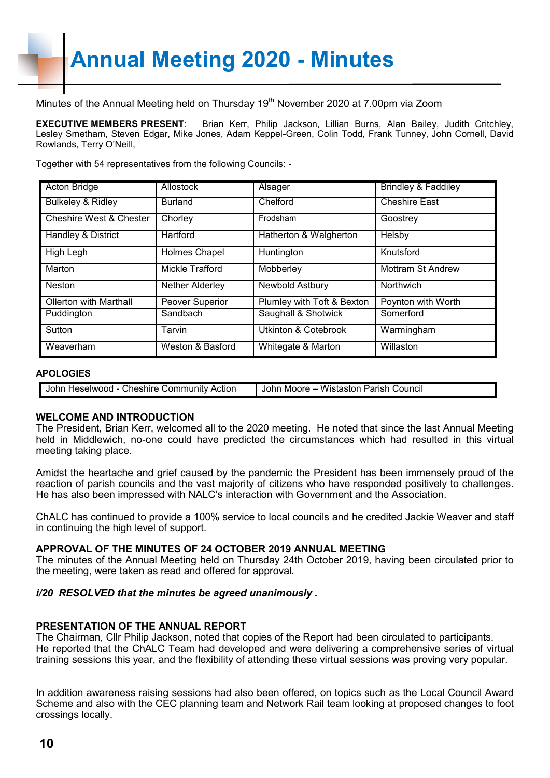Minutes of the Annual Meeting held on Thursday 19<sup>th</sup> November 2020 at 7.00pm via Zoom

**EXECUTIVE MEMBERS PRESENT**: Brian Kerr, Philip Jackson, Lillian Burns, Alan Bailey, Judith Critchley, Lesley Smetham, Steven Edgar, Mike Jones, Adam Keppel-Green, Colin Todd, Frank Tunney, John Cornell, David Rowlands, Terry O'Neill,

Together with 54 representatives from the following Councils: -

| <b>Acton Bridge</b>                | Allostock            | Alsager                         | <b>Brindley &amp; Faddiley</b> |
|------------------------------------|----------------------|---------------------------------|--------------------------------|
| <b>Bulkeley &amp; Ridley</b>       | <b>Burland</b>       | Chelford                        | <b>Cheshire East</b>           |
| <b>Cheshire West &amp; Chester</b> | Chorley              | Frodsham                        | Goostrey                       |
| Handley & District                 | <b>Hartford</b>      | Hatherton & Walgherton          | Helsby                         |
| High Legh                          | <b>Holmes Chapel</b> | Huntington                      | Knutsford                      |
| Marton                             | Mickle Trafford      | Mobberley                       | <b>Mottram St Andrew</b>       |
| <b>Neston</b>                      | Nether Alderley      | Newbold Astbury                 | Northwich                      |
| <b>Ollerton with Marthall</b>      | Peover Superior      | Plumley with Toft & Bexton      | Poynton with Worth             |
| Puddington                         | Sandbach             | Saughall & Shotwick             | Somerford                      |
| Sutton                             | Tarvin               | <b>Utkinton &amp; Cotebrook</b> | Warmingham                     |
| Weaverham                          | Weston & Basford     | Whitegate & Marton              | Willaston                      |

#### **APOLOGIES**

| こheshire<br><b>€ Community</b><br>Action<br>John<br>Heselwood - 、 | Parish<br>Wistastor<br>Council<br>Moore<br>John |
|-------------------------------------------------------------------|-------------------------------------------------|
|                                                                   |                                                 |
|                                                                   |                                                 |

#### **WELCOME AND INTRODUCTION**

The President, Brian Kerr, welcomed all to the 2020 meeting. He noted that since the last Annual Meeting held in Middlewich, no-one could have predicted the circumstances which had resulted in this virtual meeting taking place.

Amidst the heartache and grief caused by the pandemic the President has been immensely proud of the reaction of parish councils and the vast majority of citizens who have responded positively to challenges. He has also been impressed with NALC's interaction with Government and the Association.

ChALC has continued to provide a 100% service to local councils and he credited Jackie Weaver and staff in continuing the high level of support.

#### **APPROVAL OF THE MINUTES OF 24 OCTOBER 2019 ANNUAL MEETING**

The minutes of the Annual Meeting held on Thursday 24th October 2019, having been circulated prior to the meeting, were taken as read and offered for approval.

#### *i/20 RESOLVED that the minutes be agreed unanimously .*

#### **PRESENTATION OF THE ANNUAL REPORT**

The Chairman, Cllr Philip Jackson, noted that copies of the Report had been circulated to participants. He reported that the ChALC Team had developed and were delivering a comprehensive series of virtual training sessions this year, and the flexibility of attending these virtual sessions was proving very popular.

In addition awareness raising sessions had also been offered, on topics such as the Local Council Award Scheme and also with the CEC planning team and Network Rail team looking at proposed changes to foot crossings locally.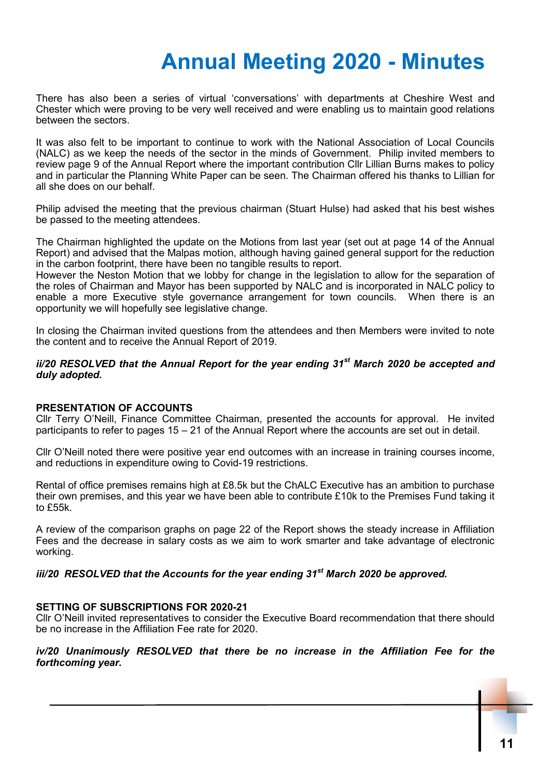# **Annual Meeting 2020 - Minutes**

There has also been a series of virtual 'conversations' with departments at Cheshire West and Chester which were proving to be very well received and were enabling us to maintain good relations between the sectors.

It was also felt to be important to continue to work with the National Association of Local Councils (NALC) as we keep the needs of the sector in the minds of Government. Philip invited members to review page 9 of the Annual Report where the important contribution Cllr Lillian Burns makes to policy and in particular the Planning White Paper can be seen. The Chairman offered his thanks to Lillian for all she does on our behalf.

Philip advised the meeting that the previous chairman (Stuart Hulse) had asked that his best wishes be passed to the meeting attendees.

The Chairman highlighted the update on the Motions from last year (set out at page 14 of the Annual Report) and advised that the Malpas motion, although having gained general support for the reduction in the carbon footprint, there have been no tangible results to report.

However the Neston Motion that we lobby for change in the legislation to allow for the separation of the roles of Chairman and Mayor has been supported by NALC and is incorporated in NALC policy to enable a more Executive style governance arrangement for town councils. When there is an opportunity we will hopefully see legislative change.

In closing the Chairman invited questions from the attendees and then Members were invited to note the content and to receive the Annual Report of 2019.

#### *ii/20 RESOLVED that the Annual Report for the year ending 31st March 2020 be accepted and duly adopted.*

#### **PRESENTATION OF ACCOUNTS**

Cllr Terry O'Neill, Finance Committee Chairman, presented the accounts for approval. He invited participants to refer to pages 15 – 21 of the Annual Report where the accounts are set out in detail.

Cllr O'Neill noted there were positive year end outcomes with an increase in training courses income, and reductions in expenditure owing to Covid-19 restrictions.

Rental of office premises remains high at £8.5k but the ChALC Executive has an ambition to purchase their own premises, and this year we have been able to contribute £10k to the Premises Fund taking it to £55k.

A review of the comparison graphs on page 22 of the Report shows the steady increase in Affiliation Fees and the decrease in salary costs as we aim to work smarter and take advantage of electronic working.

#### *iii/20 RESOLVED that the Accounts for the year ending 31st March 2020 be approved.*

#### **SETTING OF SUBSCRIPTIONS FOR 2020-21**

Cllr O'Neill invited representatives to consider the Executive Board recommendation that there should be no increase in the Affiliation Fee rate for 2020.

#### *iv/20 Unanimously RESOLVED that there be no increase in the Affiliation Fee for the forthcoming year.*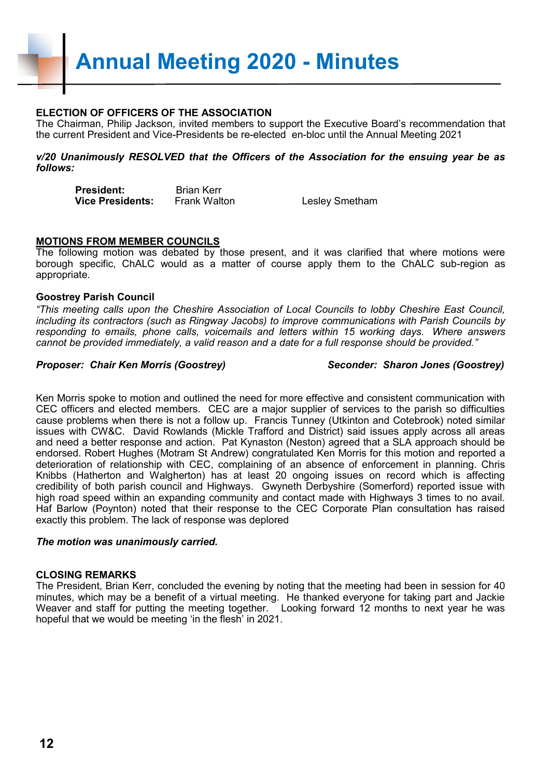**Annual Meeting 2020 - Minutes**

#### **ELECTION OF OFFICERS OF THE ASSOCIATION**

The Chairman, Philip Jackson, invited members to support the Executive Board's recommendation that the current President and Vice-Presidents be re-elected en-bloc until the Annual Meeting 2021

*v/20 Unanimously RESOLVED that the Officers of the Association for the ensuing year be as follows:*

**President:** Brian Kerr **Vice Presidents:** Frank Walton **Lesley Smetham** 

#### **MOTIONS FROM MEMBER COUNCILS**

The following motion was debated by those present, and it was clarified that where motions were borough specific, ChALC would as a matter of course apply them to the ChALC sub-region as appropriate.

#### **Goostrey Parish Council**

*"This meeting calls upon the Cheshire Association of Local Councils to lobby Cheshire East Council, including its contractors (such as Ringway Jacobs) to improve communications with Parish Councils by responding to emails, phone calls, voicemails and letters within 15 working days. Where answers cannot be provided immediately, a valid reason and a date for a full response should be provided."*

#### *Proposer: Chair Ken Morris (Goostrey) Seconder: Sharon Jones (Goostrey)*

Ken Morris spoke to motion and outlined the need for more effective and consistent communication with CEC officers and elected members. CEC are a major supplier of services to the parish so difficulties cause problems when there is not a follow up. Francis Tunney (Utkinton and Cotebrook) noted similar issues with CW&C. David Rowlands (Mickle Trafford and District) said issues apply across all areas and need a better response and action. Pat Kynaston (Neston) agreed that a SLA approach should be endorsed. Robert Hughes (Motram St Andrew) congratulated Ken Morris for this motion and reported a deterioration of relationship with CEC, complaining of an absence of enforcement in planning. Chris Knibbs (Hatherton and Walgherton) has at least 20 ongoing issues on record which is affecting credibility of both parish council and Highways. Gwyneth Derbyshire (Somerford) reported issue with high road speed within an expanding community and contact made with Highways 3 times to no avail. Haf Barlow (Poynton) noted that their response to the CEC Corporate Plan consultation has raised exactly this problem. The lack of response was deplored

#### *The motion was unanimously carried.*

#### **CLOSING REMARKS**

The President, Brian Kerr, concluded the evening by noting that the meeting had been in session for 40 minutes, which may be a benefit of a virtual meeting. He thanked everyone for taking part and Jackie Weaver and staff for putting the meeting together. Looking forward 12 months to next year he was hopeful that we would be meeting 'in the flesh' in 2021.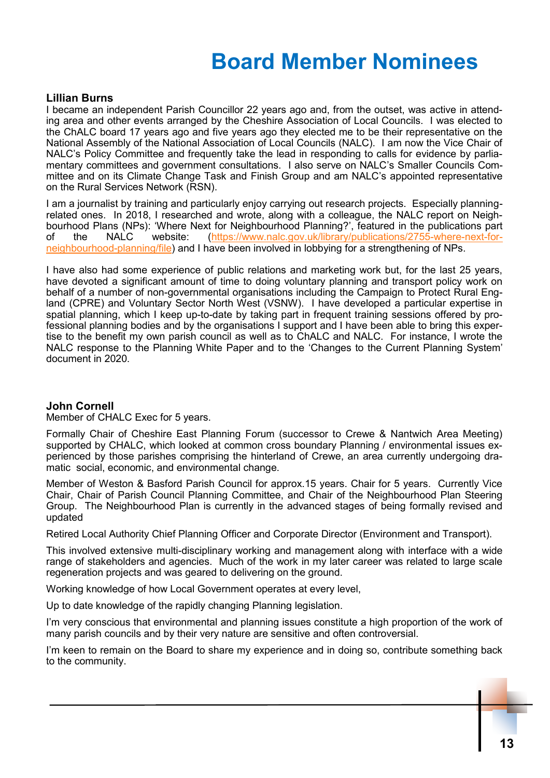# **Board Member Nominees**

#### **Lillian Burns**

I became an independent Parish Councillor 22 years ago and, from the outset, was active in attending area and other events arranged by the Cheshire Association of Local Councils. I was elected to the ChALC board 17 years ago and five years ago they elected me to be their representative on the National Assembly of the National Association of Local Councils (NALC). I am now the Vice Chair of NALC's Policy Committee and frequently take the lead in responding to calls for evidence by parliamentary committees and government consultations. I also serve on NALC's Smaller Councils Committee and on its Climate Change Task and Finish Group and am NALC's appointed representative on the Rural Services Network (RSN).

I am a journalist by training and particularly enjoy carrying out research projects. Especially planningrelated ones. In 2018, I researched and wrote, along with a colleague, the NALC report on Neighbourhood Plans (NPs): 'Where Next for Neighbourhood Planning?', featured in the publications part<br>of the NALC website: (https://www.nalc.gov.uk/library/publications/2755-where-next-for([https://www.nalc.gov.uk/library/publications/2755](https://www.nalc.gov.uk/library/publications/2755-where-next-for-neighbourhood-planning/file)-where-next-for[neighbourhood](https://www.nalc.gov.uk/library/publications/2755-where-next-for-neighbourhood-planning/file)-planning/file) and I have been involved in lobbying for a strengthening of NPs.

I have also had some experience of public relations and marketing work but, for the last 25 years, have devoted a significant amount of time to doing voluntary planning and transport policy work on behalf of a number of non-governmental organisations including the Campaign to Protect Rural England (CPRE) and Voluntary Sector North West (VSNW). I have developed a particular expertise in spatial planning, which I keep up-to-date by taking part in frequent training sessions offered by professional planning bodies and by the organisations I support and I have been able to bring this expertise to the benefit my own parish council as well as to ChALC and NALC. For instance, I wrote the NALC response to the Planning White Paper and to the 'Changes to the Current Planning System' document in 2020.

#### **John Cornell**

Member of CHALC Exec for 5 years.

Formally Chair of Cheshire East Planning Forum (successor to Crewe & Nantwich Area Meeting) supported by CHALC, which looked at common cross boundary Planning / environmental issues experienced by those parishes comprising the hinterland of Crewe, an area currently undergoing dramatic social, economic, and environmental change.

Member of Weston & Basford Parish Council for approx.15 years. Chair for 5 years. Currently Vice Chair, Chair of Parish Council Planning Committee, and Chair of the Neighbourhood Plan Steering Group. The Neighbourhood Plan is currently in the advanced stages of being formally revised and updated

Retired Local Authority Chief Planning Officer and Corporate Director (Environment and Transport).

This involved extensive multi-disciplinary working and management along with interface with a wide range of stakeholders and agencies. Much of the work in my later career was related to large scale regeneration projects and was geared to delivering on the ground.

Working knowledge of how Local Government operates at every level,

Up to date knowledge of the rapidly changing Planning legislation.

I'm very conscious that environmental and planning issues constitute a high proportion of the work of many parish councils and by their very nature are sensitive and often controversial.

I'm keen to remain on the Board to share my experience and in doing so, contribute something back to the community.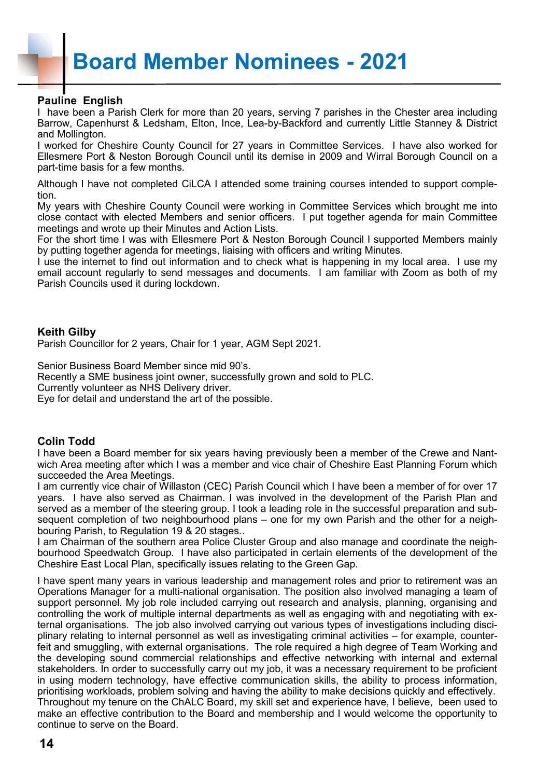#### **Pauline English**

I have been a Parish Clerk for more than 20 years, serving 7 parishes in the Chester area including Barrow, Capenhurst & Ledsham, Elton, Ince, Lea-by-Backford and currently Little Stanney & District and Mollington.

I worked for Cheshire County Council for 27 years in Committee Services. I have also worked for Ellesmere Port & Neston Borough Council until its demise in 2009 and Wirral Borough Council on a part-time basis for a few months.

Although I have not completed CiLCA I attended some training courses intended to support completion.

My years with Cheshire County Council were working in Committee Services which brought me into close contact with elected Members and senior officers. I put together agenda for main Committee meetings and wrote up their Minutes and Action Lists.

For the short time I was with Ellesmere Port & Neston Borough Council I supported Members mainly by putting together agenda for meetings, liaising with officers and writing Minutes.

I use the internet to find out information and to check what is happening in my local area. I use my email account regularly to send messages and documents. I am familiar with Zoom as both of my Parish Councils used it during lockdown.

#### **Keith Gilby**

Parish Councillor for 2 years, Chair for 1 year, AGM Sept 2021.

Senior Business Board Member since mid 90's.

Recently a SME business joint owner, successfully grown and sold to PLC.

Currently volunteer as NHS Delivery driver.

Eye for detail and understand the art of the possible.

#### **Colin Todd**

I have been a Board member for six years having previously been a member of the Crewe and Nantwich Area meeting after which I was a member and vice chair of Cheshire East Planning Forum which succeeded the Area Meetings.

I am currently vice chair of Willaston (CEC) Parish Council which I have been a member of for over 17 years. I have also served as Chairman. I was involved in the development of the Parish Plan and served as a member of the steering group. I took a leading role in the successful preparation and subsequent completion of two neighbourhood plans – one for my own Parish and the other for a neighbouring Parish, to Regulation 19 & 20 stages..

I am Chairman of the southern area Police Cluster Group and also manage and coordinate the neighbourhood Speedwatch Group. I have also participated in certain elements of the development of the Cheshire East Local Plan, specifically issues relating to the Green Gap.

I have spent many years in various leadership and management roles and prior to retirement was an Operations Manager for a multi-national organisation. The position also involved managing a team of support personnel. My job role included carrying out research and analysis, planning, organising and controlling the work of multiple internal departments as well as engaging with and negotiating with external organisations. The job also involved carrying out various types of investigations including disciplinary relating to internal personnel as well as investigating criminal activities – for example, counterfeit and smuggling, with external organisations. The role required a high degree of Team Working and the developing sound commercial relationships and effective networking with internal and external stakeholders. In order to successfully carry out my job, it was a necessary requirement to be proficient in using modern technology, have effective communication skills, the ability to process information, prioritising workloads, problem solving and having the ability to make decisions quickly and effectively. Throughout my tenure on the ChALC Board, my skill set and experience have, I believe, been used to make an effective contribution to the Board and membership and I would welcome the opportunity to continue to serve on the Board.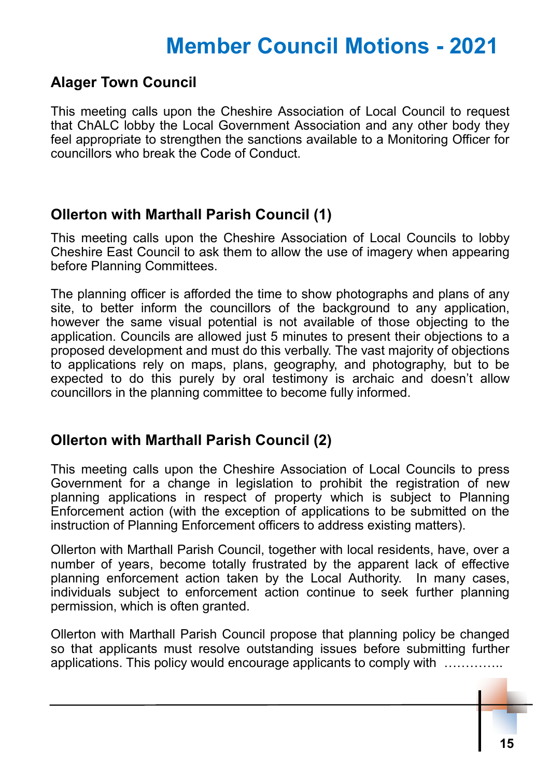# **Member Council Motions - 2021**

## **Alager Town Council**

This meeting calls upon the Cheshire Association of Local Council to request that ChALC lobby the Local Government Association and any other body they feel appropriate to strengthen the sanctions available to a Monitoring Officer for councillors who break the Code of Conduct.

## **Ollerton with Marthall Parish Council (1)**

This meeting calls upon the Cheshire Association of Local Councils to lobby Cheshire East Council to ask them to allow the use of imagery when appearing before Planning Committees.

The planning officer is afforded the time to show photographs and plans of any site, to better inform the councillors of the background to any application, however the same visual potential is not available of those objecting to the application. Councils are allowed just 5 minutes to present their objections to a proposed development and must do this verbally. The vast majority of objections to applications rely on maps, plans, geography, and photography, but to be expected to do this purely by oral testimony is archaic and doesn't allow councillors in the planning committee to become fully informed.

## **Ollerton with Marthall Parish Council (2)**

This meeting calls upon the Cheshire Association of Local Councils to press Government for a change in legislation to prohibit the registration of new planning applications in respect of property which is subject to Planning Enforcement action (with the exception of applications to be submitted on the instruction of Planning Enforcement officers to address existing matters).

Ollerton with Marthall Parish Council, together with local residents, have, over a number of years, become totally frustrated by the apparent lack of effective planning enforcement action taken by the Local Authority. In many cases, individuals subject to enforcement action continue to seek further planning permission, which is often granted.

Ollerton with Marthall Parish Council propose that planning policy be changed so that applicants must resolve outstanding issues before submitting further applications. This policy would encourage applicants to comply with …………..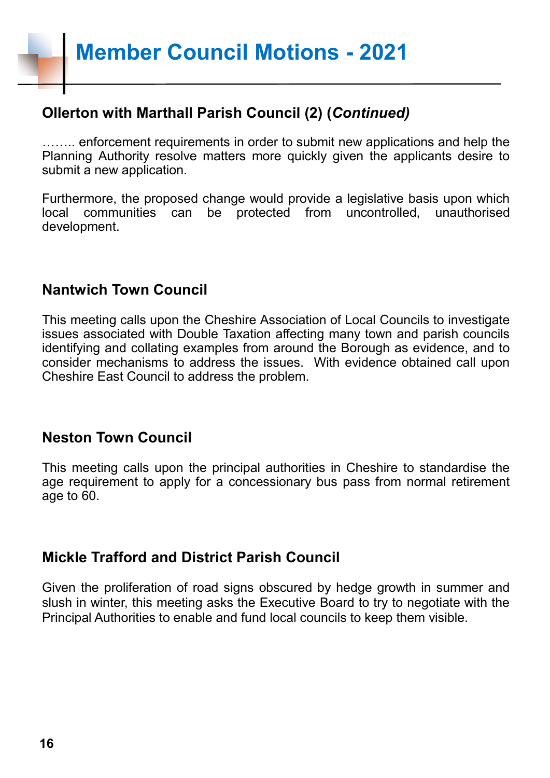**Member Council Motions - 2021**

## **Ollerton with Marthall Parish Council (2) (***Continued)*

…….. enforcement requirements in order to submit new applications and help the Planning Authority resolve matters more quickly given the applicants desire to submit a new application.

Furthermore, the proposed change would provide a legislative basis upon which local communities can be protected from uncontrolled, unauthorised development.

### **Nantwich Town Council**

This meeting calls upon the Cheshire Association of Local Councils to investigate issues associated with Double Taxation affecting many town and parish councils identifying and collating examples from around the Borough as evidence, and to consider mechanisms to address the issues. With evidence obtained call upon Cheshire East Council to address the problem.

## **Neston Town Council**

This meeting calls upon the principal authorities in Cheshire to standardise the age requirement to apply for a concessionary bus pass from normal retirement age to 60.

### **Mickle Trafford and District Parish Council**

Given the proliferation of road signs obscured by hedge growth in summer and slush in winter, this meeting asks the Executive Board to try to negotiate with the Principal Authorities to enable and fund local councils to keep them visible.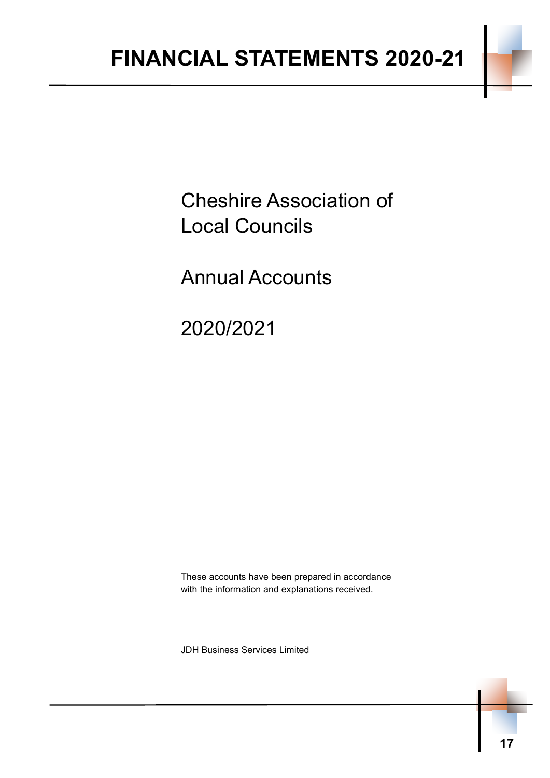Cheshire Association of Local Councils

Annual Accounts

2020/2021

These accounts have been prepared in accordance with the information and explanations received.

JDH Business Services Limited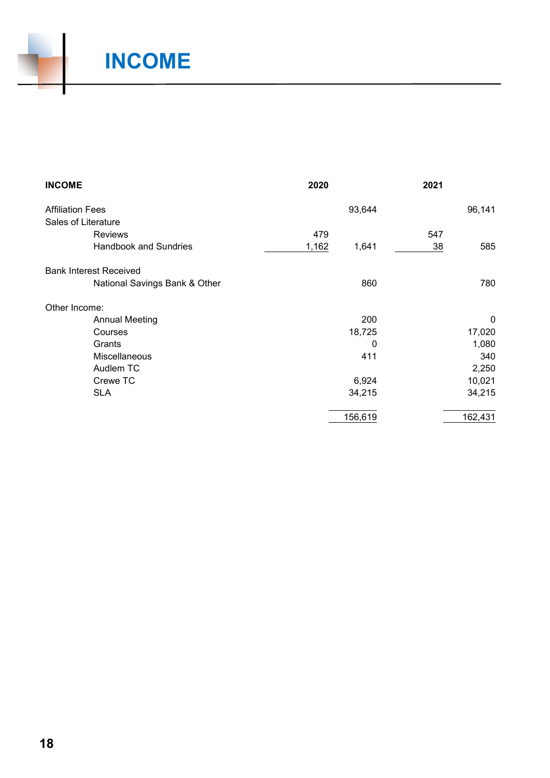

# **INCOME**

| <b>INCOME</b>                 | 2020           | 2021 |         |
|-------------------------------|----------------|------|---------|
| <b>Affiliation Fees</b>       | 93,644         |      | 96,141  |
| Sales of Literature           |                |      |         |
| <b>Reviews</b>                | 479            | 547  |         |
| <b>Handbook and Sundries</b>  | 1,162<br>1,641 | 38   | 585     |
| <b>Bank Interest Received</b> |                |      |         |
| National Savings Bank & Other | 860            |      | 780     |
| Other Income:                 |                |      |         |
| <b>Annual Meeting</b>         | 200            |      | 0       |
| Courses                       | 18,725         |      | 17,020  |
| Grants                        | 0              |      | 1,080   |
| Miscellaneous                 | 411            |      | 340     |
| Audlem TC                     |                |      | 2,250   |
| Crewe TC                      | 6,924          |      | 10,021  |
| <b>SLA</b>                    | 34,215         |      | 34,215  |
|                               | 156,619        |      | 162,431 |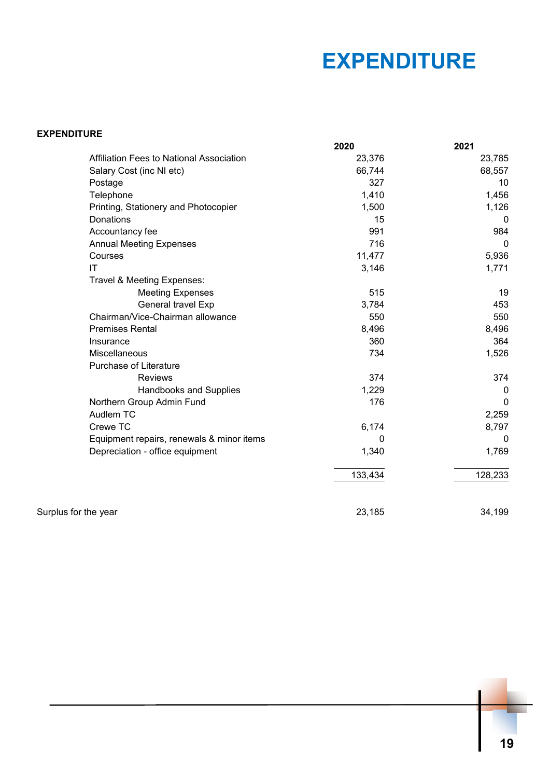# **EXPENDITURE**

| <b>EXPENDITURE</b> |
|--------------------|
|--------------------|

|                        |                                           | 2020    | 2021     |
|------------------------|-------------------------------------------|---------|----------|
|                        | Affiliation Fees to National Association  | 23,376  | 23,785   |
|                        | Salary Cost (inc NI etc)                  | 66,744  | 68,557   |
|                        | Postage                                   | 327     | 10       |
|                        | Telephone                                 | 1,410   | 1,456    |
|                        | Printing, Stationery and Photocopier      | 1,500   | 1,126    |
|                        | <b>Donations</b>                          | 15      | $\Omega$ |
|                        | Accountancy fee                           | 991     | 984      |
|                        | <b>Annual Meeting Expenses</b>            | 716     | 0        |
|                        | Courses                                   | 11,477  | 5,936    |
| $\mathsf{I}\mathsf{T}$ |                                           | 3,146   | 1,771    |
|                        | Travel & Meeting Expenses:                |         |          |
|                        | <b>Meeting Expenses</b>                   | 515     | 19       |
|                        | General travel Exp                        | 3,784   | 453      |
|                        | Chairman/Vice-Chairman allowance          | 550     | 550      |
|                        | <b>Premises Rental</b>                    | 8,496   | 8,496    |
|                        | Insurance                                 | 360     | 364      |
|                        | Miscellaneous                             | 734     | 1,526    |
|                        | Purchase of Literature                    |         |          |
|                        | <b>Reviews</b>                            | 374     | 374      |
|                        | <b>Handbooks and Supplies</b>             | 1,229   | 0        |
|                        | Northern Group Admin Fund                 | 176     | $\Omega$ |
|                        | Audlem TC                                 |         | 2,259    |
|                        | Crewe TC                                  | 6,174   | 8,797    |
|                        | Equipment repairs, renewals & minor items | 0       | 0        |
|                        | Depreciation - office equipment           | 1,340   | 1,769    |
|                        |                                           | 133,434 | 128,233  |
| Surplus for the year   |                                           | 23,185  | 34,199   |
|                        |                                           |         |          |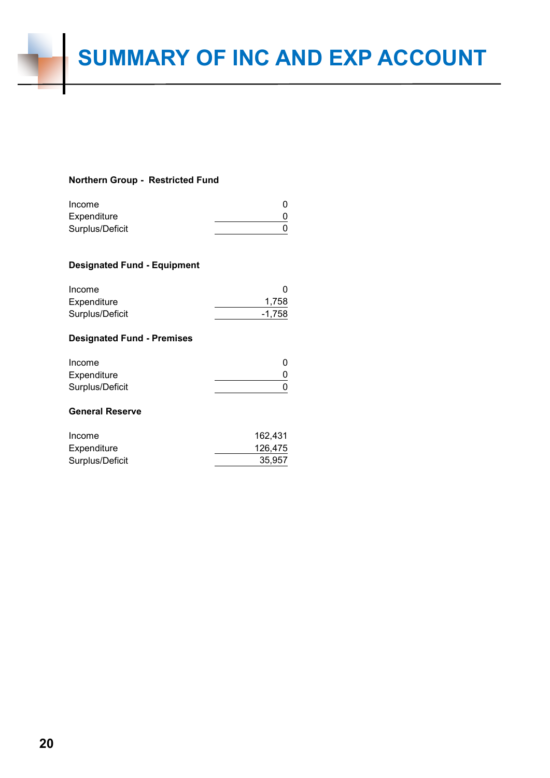#### **Northern Group - Restricted Fund**

| Income          |  |
|-----------------|--|
| Expenditure     |  |
| Surplus/Deficit |  |

#### **Designated Fund - Equipment**

| 1,758  |
|--------|
| -1.758 |
|        |

#### **Designated Fund - Premises**

| Income          |  |
|-----------------|--|
| Expenditure     |  |
| Surplus/Deficit |  |

#### **General Reserve**

| Income          | 162.431 |
|-----------------|---------|
| Expenditure     | 126.475 |
| Surplus/Deficit | 35.957  |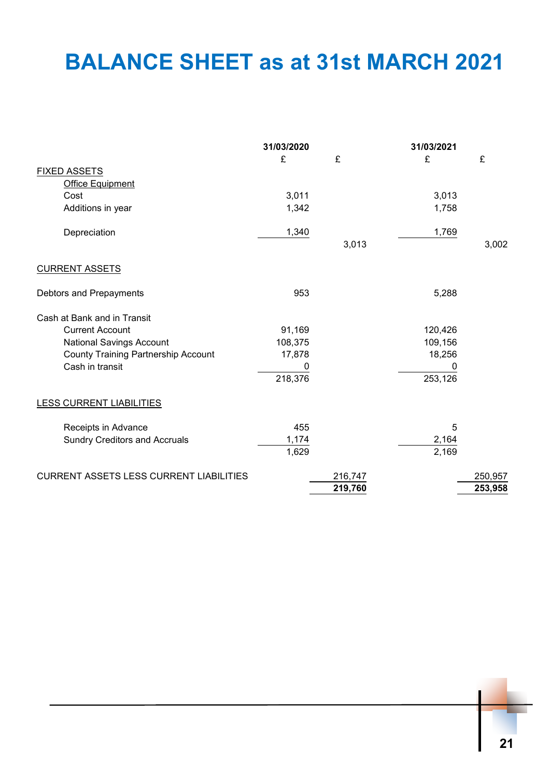# **BALANCE SHEET as at 31st MARCH 2021**

|                                                | 31/03/2020 |         | 31/03/2021 |         |
|------------------------------------------------|------------|---------|------------|---------|
|                                                | £          | £       | £          | £       |
| <b>FIXED ASSETS</b>                            |            |         |            |         |
| <b>Office Equipment</b>                        |            |         |            |         |
| Cost                                           | 3,011      |         | 3,013      |         |
| Additions in year                              | 1,342      |         | 1,758      |         |
| Depreciation                                   | 1,340      |         | 1,769      |         |
|                                                |            | 3,013   |            | 3,002   |
| <b>CURRENT ASSETS</b>                          |            |         |            |         |
| Debtors and Prepayments                        | 953        |         | 5,288      |         |
| Cash at Bank and in Transit                    |            |         |            |         |
| <b>Current Account</b>                         | 91,169     |         | 120,426    |         |
| National Savings Account                       | 108,375    |         | 109,156    |         |
| <b>County Training Partnership Account</b>     | 17,878     |         | 18,256     |         |
| Cash in transit                                | 0          |         | 0          |         |
|                                                | 218,376    |         | 253,126    |         |
| LESS CURRENT LIABILITIES                       |            |         |            |         |
| Receipts in Advance                            | 455        |         | 5          |         |
| <b>Sundry Creditors and Accruals</b>           | 1,174      |         | 2,164      |         |
|                                                | 1,629      |         | 2,169      |         |
| <b>CURRENT ASSETS LESS CURRENT LIABILITIES</b> |            | 216,747 |            | 250,957 |
|                                                |            | 219,760 |            | 253,958 |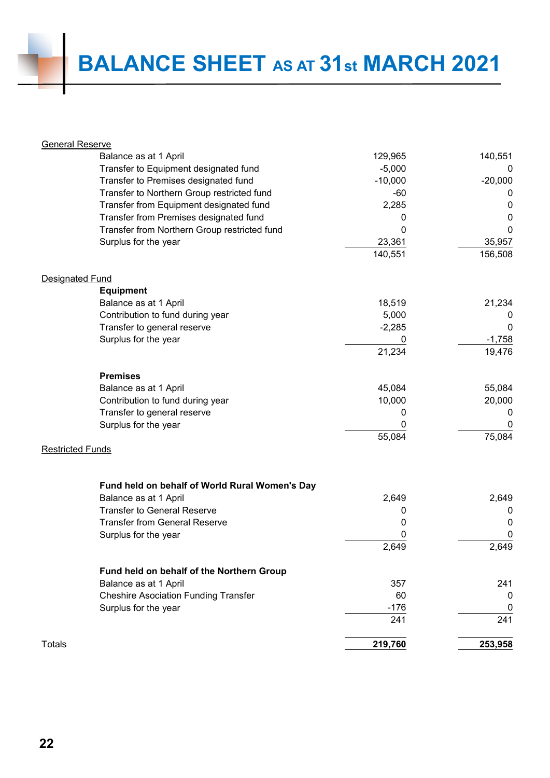| <b>General Reserve</b>                         |           |             |
|------------------------------------------------|-----------|-------------|
| Balance as at 1 April                          | 129,965   | 140,551     |
| Transfer to Equipment designated fund          | $-5,000$  | 0           |
| Transfer to Premises designated fund           | $-10,000$ | $-20,000$   |
| Transfer to Northern Group restricted fund     | $-60$     | $\mathbf 0$ |
| Transfer from Equipment designated fund        | 2,285     | $\mathbf 0$ |
| Transfer from Premises designated fund         | 0         | $\mathbf 0$ |
| Transfer from Northern Group restricted fund   | 0         | 0           |
| Surplus for the year                           | 23,361    | 35,957      |
|                                                | 140,551   | 156,508     |
| <b>Designated Fund</b>                         |           |             |
| <b>Equipment</b>                               |           |             |
| Balance as at 1 April                          | 18,519    | 21,234      |
| Contribution to fund during year               | 5,000     | 0           |
| Transfer to general reserve                    | $-2,285$  | 0           |
| Surplus for the year                           | 0         | $-1,758$    |
|                                                | 21,234    | 19,476      |
| <b>Premises</b>                                |           |             |
| Balance as at 1 April                          | 45,084    | 55,084      |
| Contribution to fund during year               | 10,000    | 20,000      |
| Transfer to general reserve                    | 0         | 0           |
| Surplus for the year                           |           | 0           |
| <b>Restricted Funds</b>                        | 55,084    | 75,084      |
|                                                |           |             |
| Fund held on behalf of World Rural Women's Day |           |             |
| Balance as at 1 April                          | 2,649     | 2,649       |
| <b>Transfer to General Reserve</b>             | 0         | 0           |
| <b>Transfer from General Reserve</b>           | 0         | 0           |
| Surplus for the year                           |           | $\mathbf 0$ |
|                                                | 2,649     | 2,649       |
| Fund held on behalf of the Northern Group      |           |             |
| Balance as at 1 April                          | 357       | 241         |
| <b>Cheshire Asociation Funding Transfer</b>    | 60        | 0           |
| Surplus for the year                           | $-176$    | 0           |
|                                                | 241       | 241         |
| <b>Totals</b>                                  | 219,760   | 253,958     |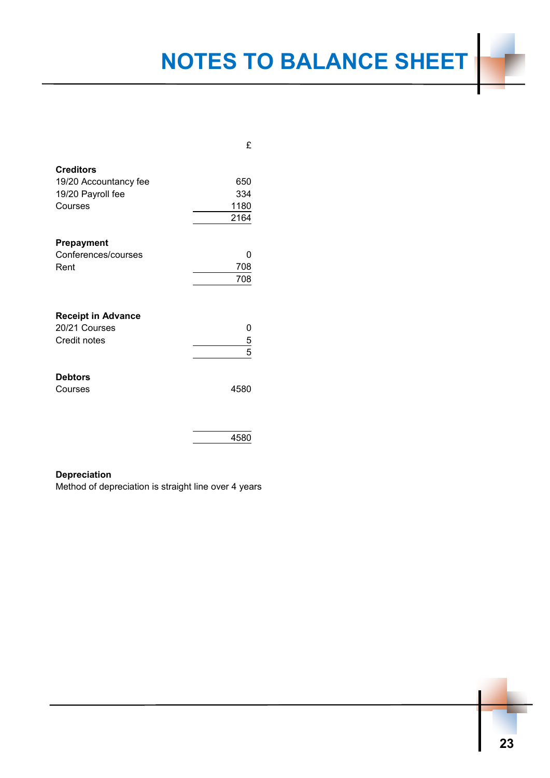# **NOTES TO BALANCE SHEET**

|                           | £             |
|---------------------------|---------------|
| <b>Creditors</b>          |               |
| 19/20 Accountancy fee     | 650           |
| 19/20 Payroll fee         | 334           |
| Courses                   | 1180          |
|                           | 2164          |
|                           |               |
| <b>Prepayment</b>         |               |
| Conferences/courses       | ი             |
| Rent                      | 708           |
|                           | 708           |
|                           |               |
|                           |               |
| <b>Receipt in Advance</b> |               |
| 20/21 Courses             | 0             |
| Credit notes              |               |
|                           | $\frac{5}{5}$ |
|                           |               |
| <b>Debtors</b>            |               |
| Courses                   | 4580          |
|                           |               |
|                           |               |
|                           |               |
|                           | 4580          |

#### **Depreciation**

Method of depreciation is straight line over 4 years